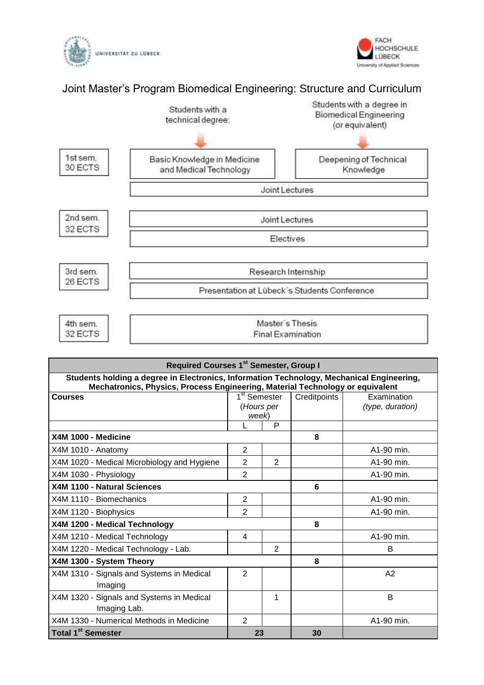



## Joint Master's Program Biomedical Engineering: Structure and Curriculum



| <b>Required Courses 1st Semester, Group I</b>                                                                                                                              |                          |                |              |                  |
|----------------------------------------------------------------------------------------------------------------------------------------------------------------------------|--------------------------|----------------|--------------|------------------|
| Students holding a degree in Electronics, Information Technology, Mechanical Engineering,<br>Mechatronics, Physics, Process Engineering, Material Technology or equivalent |                          |                |              |                  |
| <b>Courses</b>                                                                                                                                                             | 1 <sup>st</sup> Semester |                | Creditpoints | Examination      |
|                                                                                                                                                                            | (Hours per               |                |              | (type, duration) |
|                                                                                                                                                                            | week)                    |                |              |                  |
|                                                                                                                                                                            | L                        | P              |              |                  |
| X4M 1000 - Medicine                                                                                                                                                        |                          |                | 8            |                  |
| X4M 1010 - Anatomy                                                                                                                                                         | 2                        |                |              | A1-90 min.       |
| X4M 1020 - Medical Microbiology and Hygiene                                                                                                                                | $\overline{2}$           | 2              |              | A1-90 min.       |
| X4M 1030 - Physiology                                                                                                                                                      | $\overline{2}$           |                |              | A1-90 min.       |
| X4M 1100 - Natural Sciences                                                                                                                                                |                          |                | 6            |                  |
| X4M 1110 - Biomechanics                                                                                                                                                    | $\overline{2}$           |                |              | A1-90 min.       |
| X4M 1120 - Biophysics                                                                                                                                                      | 2                        |                |              | A1-90 min.       |
| X4M 1200 - Medical Technology                                                                                                                                              |                          |                | 8            |                  |
| X4M 1210 - Medical Technology                                                                                                                                              | 4                        |                |              | A1-90 min.       |
| X4M 1220 - Medical Technology - Lab.                                                                                                                                       |                          | $\overline{2}$ |              | B                |
| X4M 1300 - System Theory                                                                                                                                                   |                          |                | 8            |                  |
| X4M 1310 - Signals and Systems in Medical                                                                                                                                  | $\overline{2}$           |                |              | A2               |
| Imaging                                                                                                                                                                    |                          |                |              |                  |
| X4M 1320 - Signals and Systems in Medical                                                                                                                                  |                          | 1              |              | B                |
| Imaging Lab.                                                                                                                                                               |                          |                |              |                  |
| X4M 1330 - Numerical Methods in Medicine                                                                                                                                   | $\overline{2}$           |                |              | A1-90 min.       |
| Total 1 <sup>st</sup> Semester                                                                                                                                             | 23                       |                | 30           |                  |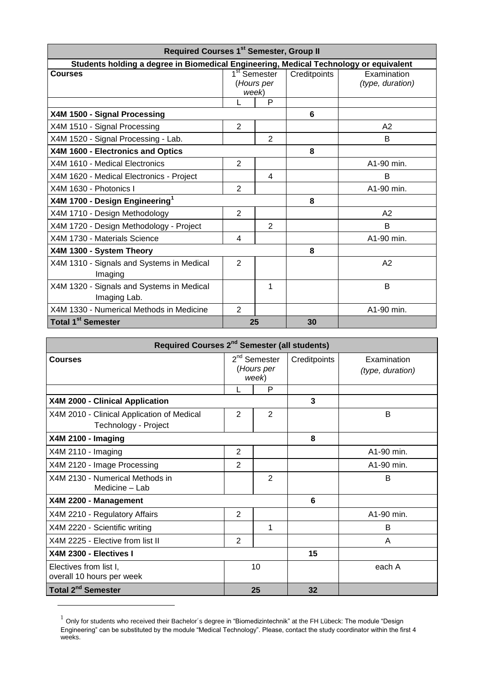| <b>Required Courses 1st Semester, Group II</b>                                        |                          |                |              |                  |
|---------------------------------------------------------------------------------------|--------------------------|----------------|--------------|------------------|
| Students holding a degree in Biomedical Engineering, Medical Technology or equivalent |                          |                |              |                  |
| <b>Courses</b>                                                                        | 1 <sup>st</sup> Semester |                | Creditpoints | Examination      |
|                                                                                       | (Hours per               |                |              | (type, duration) |
|                                                                                       | week)                    |                |              |                  |
|                                                                                       | L                        | P              |              |                  |
| X4M 1500 - Signal Processing                                                          |                          |                | 6            |                  |
| X4M 1510 - Signal Processing                                                          | $\overline{2}$           |                |              | A2               |
| X4M 1520 - Signal Processing - Lab.                                                   |                          | $\overline{2}$ |              | B                |
| X4M 1600 - Electronics and Optics                                                     |                          |                | 8            |                  |
| X4M 1610 - Medical Electronics                                                        | $\overline{2}$           |                |              | A1-90 min.       |
| X4M 1620 - Medical Electronics - Project                                              |                          | $\overline{4}$ |              | B                |
| X4M 1630 - Photonics I                                                                | $\overline{2}$           |                |              | A1-90 min.       |
| X4M 1700 - Design Engineering <sup>1</sup>                                            |                          |                | 8            |                  |
| X4M 1710 - Design Methodology                                                         | $\overline{2}$           |                |              | A2               |
| X4M 1720 - Design Methodology - Project                                               |                          | $\overline{2}$ |              | B                |
| X4M 1730 - Materials Science                                                          | 4                        |                |              | A1-90 min.       |
| X4M 1300 - System Theory                                                              |                          |                | 8            |                  |
| X4M 1310 - Signals and Systems in Medical<br>Imaging                                  | $\overline{2}$           |                |              | A2               |
| X4M 1320 - Signals and Systems in Medical<br>Imaging Lab.                             |                          | 1              |              | B                |
| X4M 1330 - Numerical Methods in Medicine                                              | $\overline{2}$           |                |              | A1-90 min.       |
| Total 1 <sup>st</sup> Semester                                                        |                          | 25             | 30           |                  |

| Required Courses 2 <sup>nd</sup> Semester (all students)           |                                       |    |              |                                 |
|--------------------------------------------------------------------|---------------------------------------|----|--------------|---------------------------------|
| <b>Courses</b>                                                     | $2nd$ Semester<br>(Hours per<br>week) |    | Creditpoints | Examination<br>(type, duration) |
|                                                                    |                                       | P  |              |                                 |
| X4M 2000 - Clinical Application                                    |                                       |    |              |                                 |
| X4M 2010 - Clinical Application of Medical<br>Technology - Project | 2                                     | 2  |              | B                               |
| <b>X4M 2100 - Imaging</b>                                          |                                       |    | 8            |                                 |
| X4M 2110 - Imaging                                                 | $\overline{2}$                        |    |              | A1-90 min.                      |
| X4M 2120 - Image Processing                                        | $\overline{2}$                        |    |              | A1-90 min.                      |
| X4M 2130 - Numerical Methods in<br>Medicine - Lab                  |                                       | 2  |              | B                               |
| X4M 2200 - Management                                              |                                       |    | 6            |                                 |
| X4M 2210 - Regulatory Affairs                                      | $\overline{2}$                        |    |              | A1-90 min.                      |
| X4M 2220 - Scientific writing                                      |                                       | 1  |              | B                               |
| X4M 2225 - Elective from list II                                   | $\mathbf{2}$                          |    |              | A                               |
| X4M 2300 - Electives I                                             |                                       |    | 15           |                                 |
| Electives from list I,<br>overall 10 hours per week                | 10                                    |    |              | each A                          |
| Total 2 <sup>nd</sup> Semester                                     |                                       | 25 | 32           |                                 |

 $^1$  Only for students who received their Bachelor´s degree in "Biomedizintechnik" at the FH Lübeck: The module "Design Engineering" can be substituted by the module "Medical Technology". Please, contact the study coordinator within the first 4 weeks.